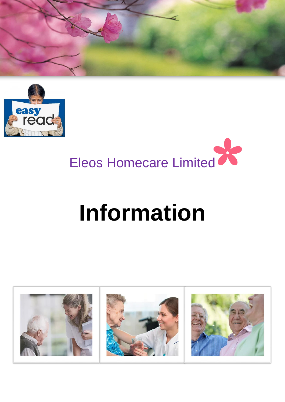



# Eleos Homecare Limited

# **Information**

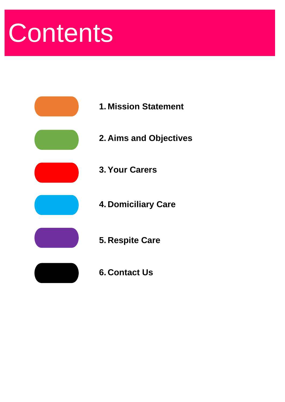# **Contents**



- **1. Mission Statement**
- **2. Aims and Objectives**
- **3. Your Carers**
- **4. Domiciliary Care**
- **5. Respite Care**
- **6. Contact Us**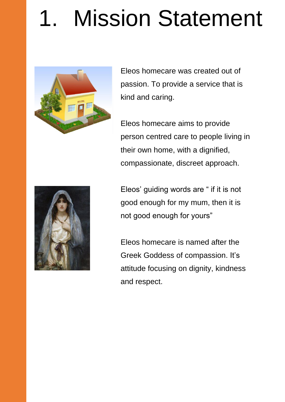# 1. Mission Statement



Eleos homecare was created out of passion. To provide a service that is kind and caring.

Eleos homecare aims to provide person centred care to people living in their own home, with a dignified, compassionate, discreet approach.



Eleos' guiding words are " if it is not good enough for my mum, then it is not good enough for yours"

Eleos homecare is named after the Greek Goddess of compassion. It's attitude focusing on dignity, kindness and respect.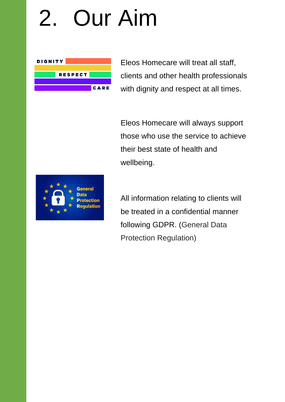#### 2. Our Aim



Eleos Homecare will treat all staff, clients and other health professionals with dignity and respect at all times.

Eleos Homecare will always support those who use the service to achieve their best state of health and wellbeing.



All information relating to clients will be treated in a confidential manner following GDPR. (General Data Protection Regulation)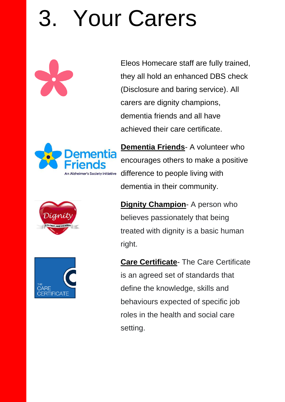# Your Carers

Eleos Homecare staff are fully trained, they all hold an enhanced DBS check (Disclosure and baring service). All carers are dignity champions, dementia friends and all have achieved their care certificate.





**Dementia Friends**- A volunteer who encourages others to make a positive difference to people living with dementia in their community.

**Dignity Champion-** A person who believes passionately that being treated with dignity is a basic human right.

**Care Certificate**- The Care Certificate is an agreed set of standards that define the knowledge, skills and behaviours expected of specific job roles in the health and social care setting.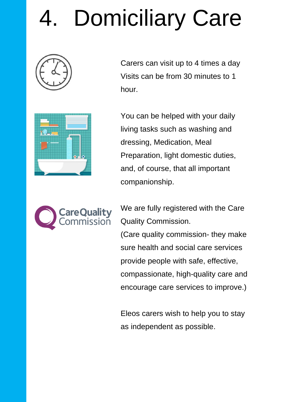# Domiciliary Care







You can be helped with your daily living tasks such as washing and dressing, Medication, Meal Preparation, light domestic duties, and, of course, that all important companionship.



We are fully registered with the Care Quality Commission.

(Care quality commission- they make sure health and social care services provide people with safe, effective, compassionate, high-quality care and encourage care services to improve.)

Eleos carers wish to help you to stay as independent as possible.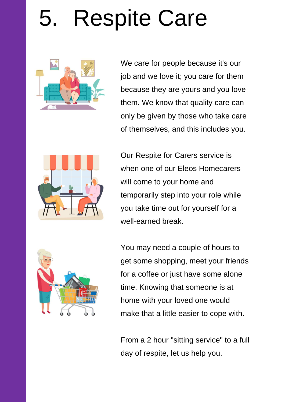# 5. Respite Care



We care for people because it's our job and we love it; you care for them because they are yours and you love them. We know that quality care can only be given by those who take care of themselves, and this includes you.



Our Respite for Carers service is when one of our Fleos Homecarers will come to your home and temporarily step into your role while you take time out for yourself for a well-earned break.



You may need a couple of hours to get some shopping, meet your friends for a coffee or just have some alone time. Knowing that someone is at home with your loved one would make that a little easier to cope with.

From a 2 hour "sitting service" to a full day of respite, let us help you.